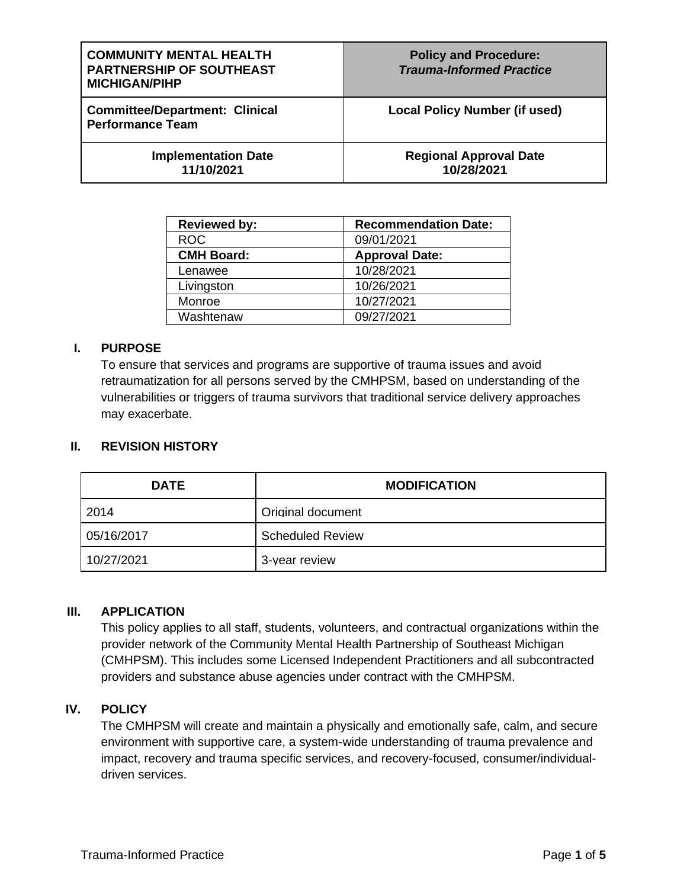| <b>COMMUNITY MENTAL HEALTH</b><br><b>PARTNERSHIP OF SOUTHEAST</b><br><b>MICHIGAN/PIHP</b> | <b>Policy and Procedure:</b><br><b>Trauma-Informed Practice</b> |
|-------------------------------------------------------------------------------------------|-----------------------------------------------------------------|
| <b>Committee/Department: Clinical</b><br><b>Performance Team</b>                          | Local Policy Number (if used)                                   |
| <b>Implementation Date</b><br>11/10/2021                                                  | <b>Regional Approval Date</b><br>10/28/2021                     |

| <b>Reviewed by:</b> | <b>Recommendation Date:</b> |
|---------------------|-----------------------------|
| <b>ROC</b>          | 09/01/2021                  |
| <b>CMH Board:</b>   | <b>Approval Date:</b>       |
| Lenawee             | 10/28/2021                  |
| Livingston          | 10/26/2021                  |
| Monroe              | 10/27/2021                  |
| Washtenaw           | 09/27/2021                  |

#### **I. PURPOSE**

To ensure that services and programs are supportive of trauma issues and avoid retraumatization for all persons served by the CMHPSM, based on understanding of the vulnerabilities or triggers of trauma survivors that traditional service delivery approaches may exacerbate.

#### **II. REVISION HISTORY**

| <b>DATE</b> | <b>MODIFICATION</b>     |
|-------------|-------------------------|
| 2014        | Original document       |
| 05/16/2017  | <b>Scheduled Review</b> |
| 10/27/2021  | 3-year review           |

#### **III. APPLICATION**

This policy applies to all staff, students, volunteers, and contractual organizations within the provider network of the Community Mental Health Partnership of Southeast Michigan (CMHPSM). This includes some Licensed Independent Practitioners and all subcontracted providers and substance abuse agencies under contract with the CMHPSM.

#### **IV. POLICY**

The CMHPSM will create and maintain a physically and emotionally safe, calm, and secure environment with supportive care, a system-wide understanding of trauma prevalence and impact, recovery and trauma specific services, and recovery-focused, consumer/individualdriven services.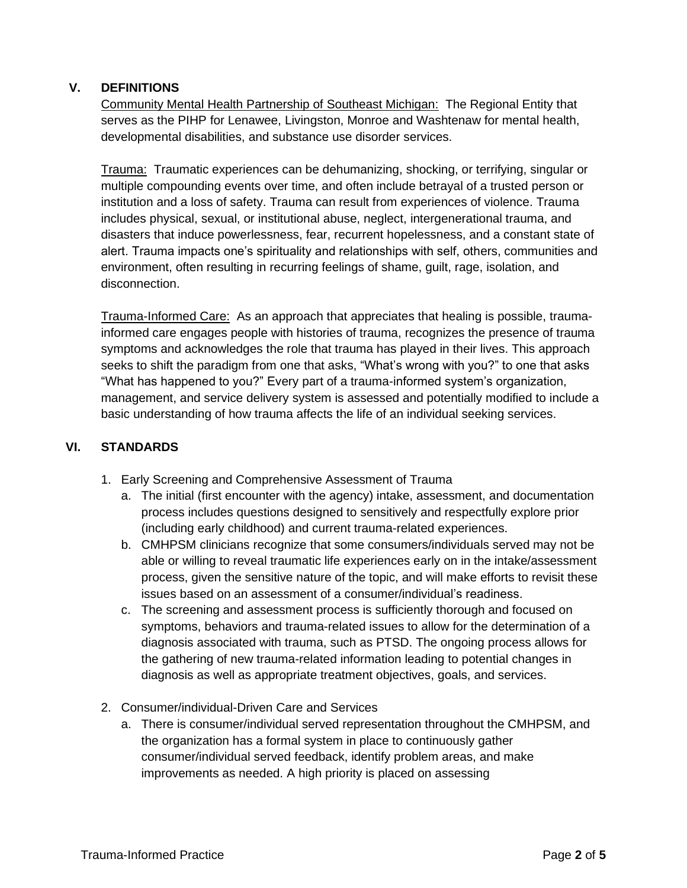# **V. DEFINITIONS**

Community Mental Health Partnership of Southeast Michigan: The Regional Entity that serves as the PIHP for Lenawee, Livingston, Monroe and Washtenaw for mental health, developmental disabilities, and substance use disorder services.

Trauma: Traumatic experiences can be dehumanizing, shocking, or terrifying, singular or multiple compounding events over time, and often include betrayal of a trusted person or institution and a loss of safety. Trauma can result from experiences of violence. Trauma includes physical, sexual, or institutional abuse, neglect, intergenerational trauma, and disasters that induce powerlessness, fear, recurrent hopelessness, and a constant state of alert. Trauma impacts one's spirituality and relationships with self, others, communities and environment, often resulting in recurring feelings of shame, guilt, rage, isolation, and disconnection.

Trauma-Informed Care: As an approach that appreciates that healing is possible, traumainformed care engages people with histories of trauma, recognizes the presence of trauma symptoms and acknowledges the role that trauma has played in their lives. This approach seeks to shift the paradigm from one that asks, "What's wrong with you?" to one that asks "What has happened to you?" Every part of a trauma-informed system's organization, management, and service delivery system is assessed and potentially modified to include a basic understanding of how trauma affects the life of an individual seeking services.

# **VI. STANDARDS**

- 1. Early Screening and Comprehensive Assessment of Trauma
	- a. The initial (first encounter with the agency) intake, assessment, and documentation process includes questions designed to sensitively and respectfully explore prior (including early childhood) and current trauma-related experiences.
	- b. CMHPSM clinicians recognize that some consumers/individuals served may not be able or willing to reveal traumatic life experiences early on in the intake/assessment process, given the sensitive nature of the topic, and will make efforts to revisit these issues based on an assessment of a consumer/individual's readiness.
	- c. The screening and assessment process is sufficiently thorough and focused on symptoms, behaviors and trauma-related issues to allow for the determination of a diagnosis associated with trauma, such as PTSD. The ongoing process allows for the gathering of new trauma-related information leading to potential changes in diagnosis as well as appropriate treatment objectives, goals, and services.
- 2. Consumer/individual-Driven Care and Services
	- a. There is consumer/individual served representation throughout the CMHPSM, and the organization has a formal system in place to continuously gather consumer/individual served feedback, identify problem areas, and make improvements as needed. A high priority is placed on assessing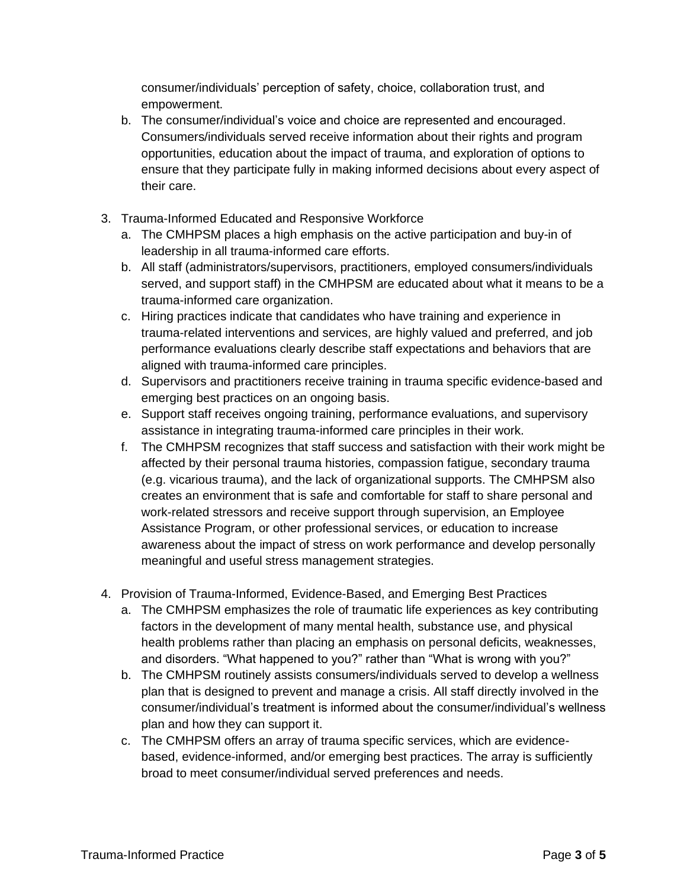consumer/individuals' perception of safety, choice, collaboration trust, and empowerment.

- b. The consumer/individual's voice and choice are represented and encouraged. Consumers/individuals served receive information about their rights and program opportunities, education about the impact of trauma, and exploration of options to ensure that they participate fully in making informed decisions about every aspect of their care.
- 3. Trauma-Informed Educated and Responsive Workforce
	- a. The CMHPSM places a high emphasis on the active participation and buy-in of leadership in all trauma-informed care efforts.
	- b. All staff (administrators/supervisors, practitioners, employed consumers/individuals served, and support staff) in the CMHPSM are educated about what it means to be a trauma-informed care organization.
	- c. Hiring practices indicate that candidates who have training and experience in trauma-related interventions and services, are highly valued and preferred, and job performance evaluations clearly describe staff expectations and behaviors that are aligned with trauma-informed care principles.
	- d. Supervisors and practitioners receive training in trauma specific evidence-based and emerging best practices on an ongoing basis.
	- e. Support staff receives ongoing training, performance evaluations, and supervisory assistance in integrating trauma-informed care principles in their work.
	- f. The CMHPSM recognizes that staff success and satisfaction with their work might be affected by their personal trauma histories, compassion fatigue, secondary trauma (e.g. vicarious trauma), and the lack of organizational supports. The CMHPSM also creates an environment that is safe and comfortable for staff to share personal and work-related stressors and receive support through supervision, an Employee Assistance Program, or other professional services, or education to increase awareness about the impact of stress on work performance and develop personally meaningful and useful stress management strategies.
- 4. Provision of Trauma-Informed, Evidence-Based, and Emerging Best Practices
	- a. The CMHPSM emphasizes the role of traumatic life experiences as key contributing factors in the development of many mental health, substance use, and physical health problems rather than placing an emphasis on personal deficits, weaknesses, and disorders. "What happened to you?" rather than "What is wrong with you?"
	- b. The CMHPSM routinely assists consumers/individuals served to develop a wellness plan that is designed to prevent and manage a crisis. All staff directly involved in the consumer/individual's treatment is informed about the consumer/individual's wellness plan and how they can support it.
	- c. The CMHPSM offers an array of trauma specific services, which are evidencebased, evidence-informed, and/or emerging best practices. The array is sufficiently broad to meet consumer/individual served preferences and needs.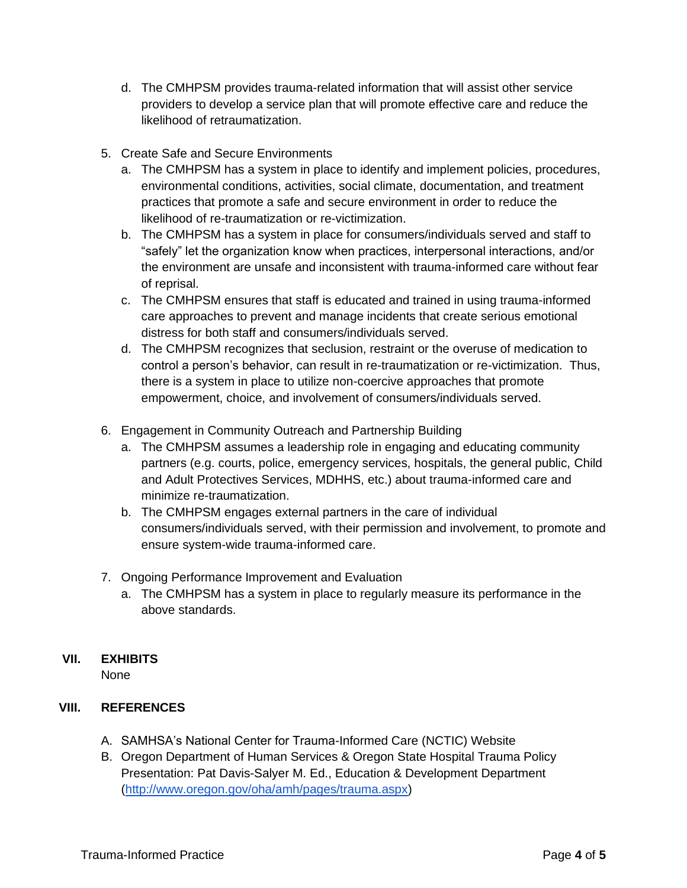- d. The CMHPSM provides trauma-related information that will assist other service providers to develop a service plan that will promote effective care and reduce the likelihood of retraumatization.
- 5. Create Safe and Secure Environments
	- a. The CMHPSM has a system in place to identify and implement policies, procedures, environmental conditions, activities, social climate, documentation, and treatment practices that promote a safe and secure environment in order to reduce the likelihood of re-traumatization or re-victimization.
	- b. The CMHPSM has a system in place for consumers/individuals served and staff to "safely" let the organization know when practices, interpersonal interactions, and/or the environment are unsafe and inconsistent with trauma-informed care without fear of reprisal.
	- c. The CMHPSM ensures that staff is educated and trained in using trauma-informed care approaches to prevent and manage incidents that create serious emotional distress for both staff and consumers/individuals served.
	- d. The CMHPSM recognizes that seclusion, restraint or the overuse of medication to control a person's behavior, can result in re-traumatization or re-victimization. Thus, there is a system in place to utilize non-coercive approaches that promote empowerment, choice, and involvement of consumers/individuals served.
- 6. Engagement in Community Outreach and Partnership Building
	- a. The CMHPSM assumes a leadership role in engaging and educating community partners (e.g. courts, police, emergency services, hospitals, the general public, Child and Adult Protectives Services, MDHHS, etc.) about trauma-informed care and minimize re-traumatization.
	- b. The CMHPSM engages external partners in the care of individual consumers/individuals served, with their permission and involvement, to promote and ensure system-wide trauma-informed care.
- 7. Ongoing Performance Improvement and Evaluation
	- a. The CMHPSM has a system in place to regularly measure its performance in the above standards.

# **VII. EXHIBITS**

None

# **VIII. REFERENCES**

- A. SAMHSA's National Center for Trauma-Informed Care (NCTIC) Website
- B. Oregon Department of Human Services & Oregon State Hospital Trauma Policy Presentation: Pat Davis-Salyer M. Ed., Education & Development Department [\(http://www.oregon.gov/oha/amh/pages/trauma.aspx\)](http://www.oregon.gov/oha/amh/pages/trauma.aspx)